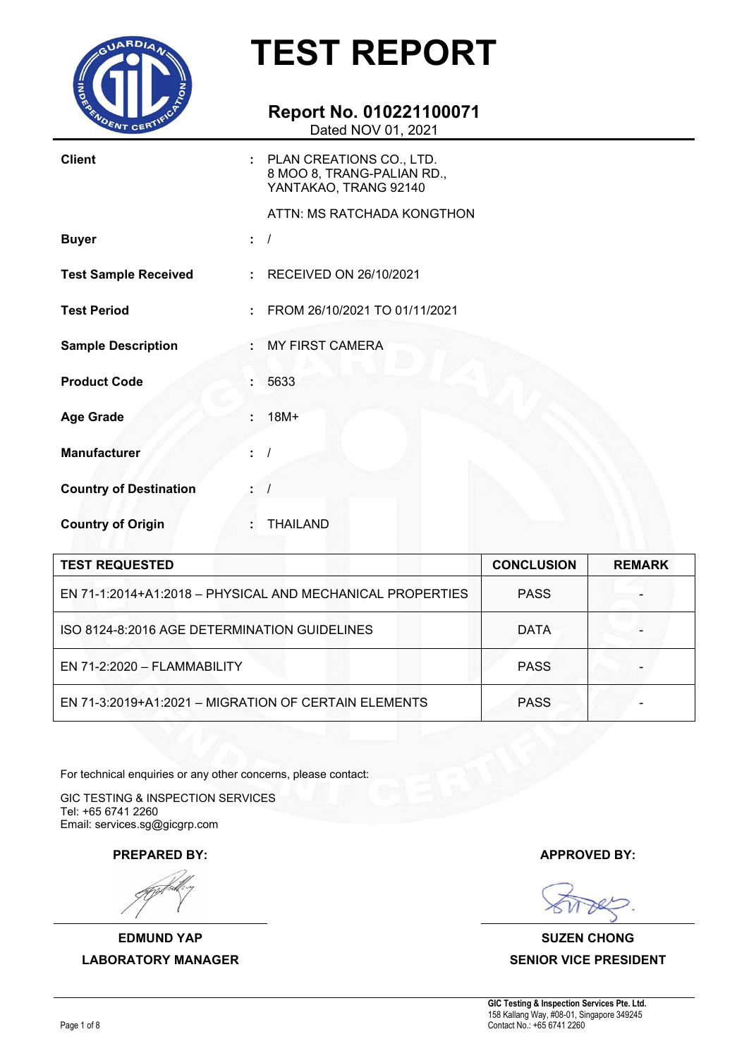

### **Report No. 010221100071**

Dated NOV 01, 2021

| <b>Client</b>                 | PLAN CREATIONS CO., LTD.<br>8 MOO 8, TRANG-PALIAN RD.,<br>YANTAKAO, TRANG 92140 |                |
|-------------------------------|---------------------------------------------------------------------------------|----------------|
|                               | ATTN: MS RATCHADA KONGTHON                                                      |                |
| <b>Buyer</b>                  |                                                                                 |                |
| <b>Test Sample Received</b>   | RECEIVED ON 26/10/2021<br>÷.                                                    |                |
| <b>Test Period</b>            | FROM 26/10/2021 TO 01/11/2021<br>÷.                                             |                |
| <b>Sample Description</b>     | <b>MY FIRST CAMERA</b>                                                          |                |
| <b>Product Code</b>           | 5633                                                                            |                |
| <b>Age Grade</b>              | $18M+$                                                                          |                |
| <b>Manufacturer</b>           |                                                                                 |                |
| <b>Country of Destination</b> |                                                                                 |                |
| <b>Country of Origin</b>      | <b>THAILAND</b>                                                                 |                |
| <b>TEST REQUESTED</b>         |                                                                                 | <b>CONCLUS</b> |

| <b>TEST REQUESTED</b>                                     | <b>CONCLUSION</b> | <b>REMARK</b> |
|-----------------------------------------------------------|-------------------|---------------|
| EN 71-1:2014+A1:2018 - PHYSICAL AND MECHANICAL PROPERTIES | <b>PASS</b>       |               |
| ISO 8124-8:2016 AGE DETERMINATION GUIDELINES              | <b>DATA</b>       |               |
| EN 71-2:2020 - FLAMMABILITY                               | <b>PASS</b>       |               |
| EN 71-3:2019+A1:2021 - MIGRATION OF CERTAIN ELEMENTS      | <b>PASS</b>       |               |

For technical enquiries or any other concerns, please contact:

GIC TESTING & INSPECTION SERVICES Tel: +65 6741 2260 Email: services.sg@gicgrp.com

**EDMUND YAP SUZEN CHONG LABORATORY MANAGER SENIOR VICE PRESIDENT**

**PREPARED BY: APPROVED BY:**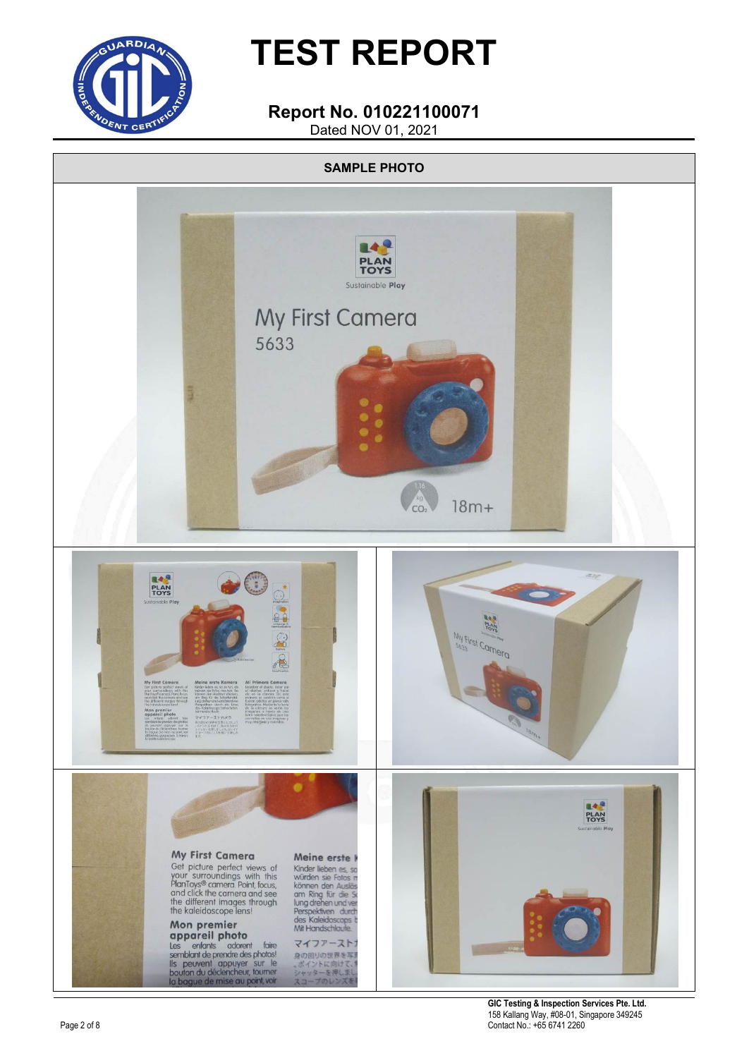

#### **Report No. 010221100071** Dated NOV 01, 2021



**GIC Testing & Inspection Services Pte. Ltd.** 158 Kallang Way, #08-01, Singapore 349245 Contact No.: +65 6741 2260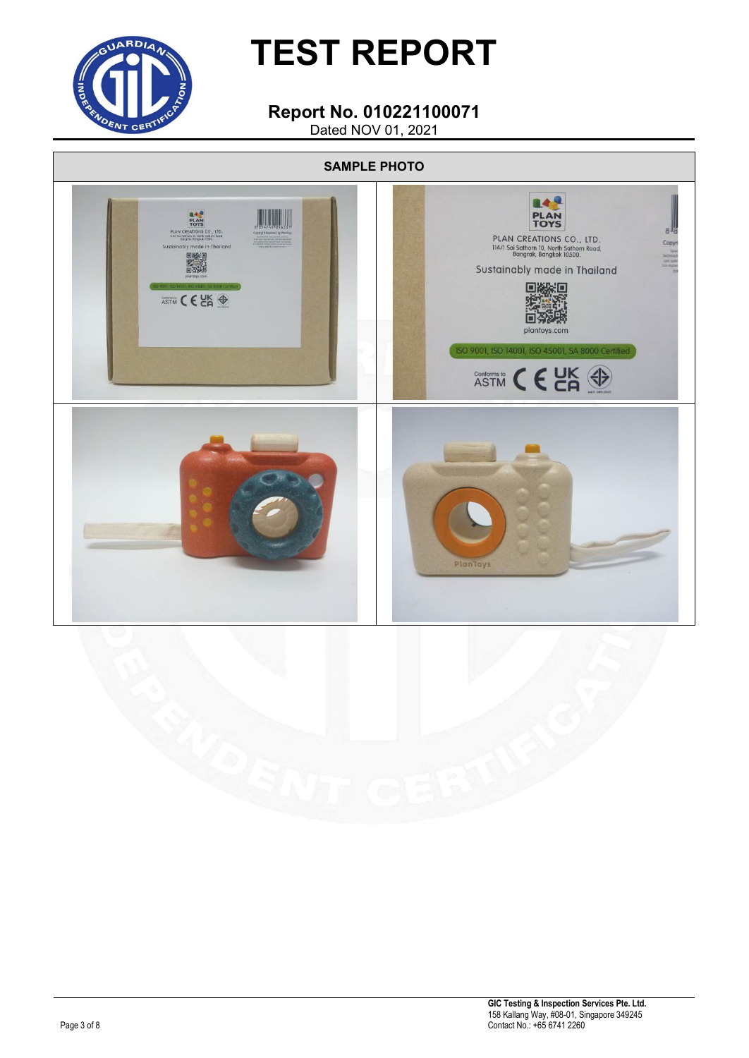

#### **Report No. 010221100071** Dated NOV 01, 2021

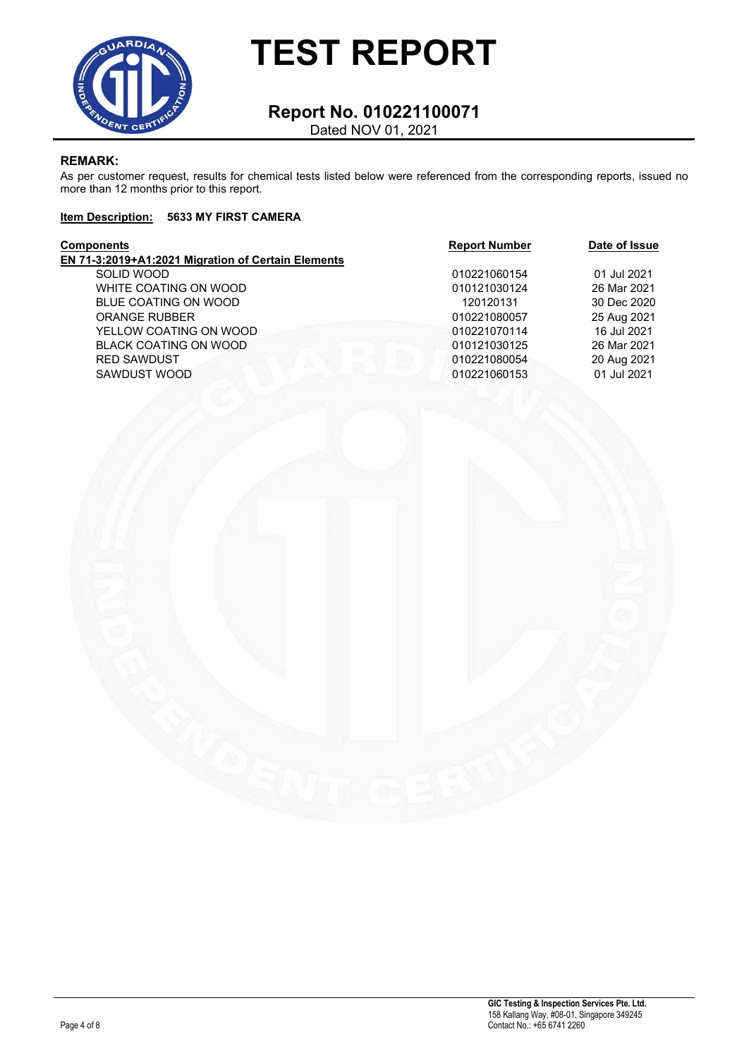

#### **Report No. 010221100071** Dated NOV 01, 2021

#### **REMARK:**

As per customer request, results for chemical tests listed below were referenced from the corresponding reports, issued no more than 12 months prior to this report.

#### **Item Description: 5633 MY FIRST CAMERA**

| Components                                         | <b>Report Number</b> | Date of Issue |
|----------------------------------------------------|----------------------|---------------|
| EN 71-3:2019+A1:2021 Migration of Certain Elements |                      |               |
| SOLID WOOD                                         | 010221060154         | 01 Jul 2021   |
| WHITE COATING ON WOOD                              | 010121030124         | 26 Mar 2021   |
| BLUE COATING ON WOOD                               | 120120131            | 30 Dec 2020   |
| <b>ORANGE RUBBER</b>                               | 010221080057         | 25 Aug 2021   |
| YELLOW COATING ON WOOD                             | 010221070114         | 16 Jul 2021   |
| <b>BLACK COATING ON WOOD</b>                       | 010121030125         | 26 Mar 2021   |
| <b>RED SAWDUST</b>                                 | 010221080054         | 20 Aug 2021   |
| SAWDUST WOOD                                       | 010221060153         | 01 Jul 2021   |
|                                                    |                      |               |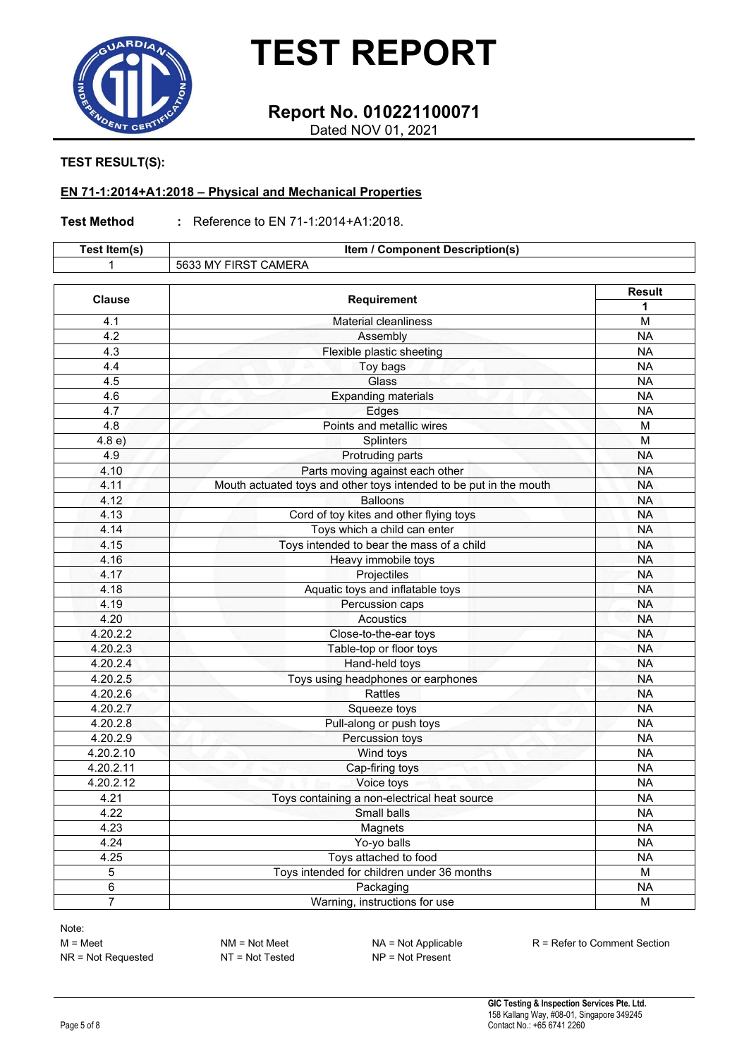

### **Report No. 010221100071**

Dated NOV 01, 2021

#### **TEST RESULT(S):**

#### **EN 71-1:2014+A1:2018 – Physical and Mechanical Properties**

#### **Test Method :** Reference to EN 71-1:2014+A1:2018.

| Test Item(s)   | Item / Component Description(s)                                    |               |  |  |  |
|----------------|--------------------------------------------------------------------|---------------|--|--|--|
|                | 5633 MY FIRST CAMERA                                               |               |  |  |  |
| <b>Clause</b>  | <b>Requirement</b>                                                 | <b>Result</b> |  |  |  |
|                |                                                                    | 1             |  |  |  |
| 4.1            | <b>Material cleanliness</b>                                        | M             |  |  |  |
| 4.2            | Assembly                                                           | <b>NA</b>     |  |  |  |
| 4.3            | Flexible plastic sheeting                                          | <b>NA</b>     |  |  |  |
| 4.4            | Toy bags                                                           | <b>NA</b>     |  |  |  |
| 4.5            | Glass                                                              | <b>NA</b>     |  |  |  |
| 4.6            | <b>Expanding materials</b>                                         | <b>NA</b>     |  |  |  |
| 4.7            | Edges                                                              | <b>NA</b>     |  |  |  |
| 4.8            | Points and metallic wires                                          | M             |  |  |  |
| 4.8 e)         | Splinters                                                          | M             |  |  |  |
| 4.9            | Protruding parts                                                   | <b>NA</b>     |  |  |  |
| 4.10           | Parts moving against each other                                    | <b>NA</b>     |  |  |  |
| 4.11           | Mouth actuated toys and other toys intended to be put in the mouth | <b>NA</b>     |  |  |  |
| 4.12           | <b>Balloons</b>                                                    | <b>NA</b>     |  |  |  |
| 4.13           | Cord of toy kites and other flying toys                            | <b>NA</b>     |  |  |  |
| 4.14           | Toys which a child can enter                                       | <b>NA</b>     |  |  |  |
| 4.15           | Toys intended to bear the mass of a child                          | <b>NA</b>     |  |  |  |
| 4.16           | Heavy immobile toys                                                | <b>NA</b>     |  |  |  |
| 4.17           | Projectiles                                                        | <b>NA</b>     |  |  |  |
| 4.18           | Aquatic toys and inflatable toys                                   | <b>NA</b>     |  |  |  |
| 4.19           | Percussion caps                                                    | <b>NA</b>     |  |  |  |
| 4.20           | Acoustics                                                          | <b>NA</b>     |  |  |  |
| 4.20.2.2       | Close-to-the-ear toys                                              | <b>NA</b>     |  |  |  |
| 4.20.2.3       | Table-top or floor toys                                            | <b>NA</b>     |  |  |  |
| 4.20.2.4       | Hand-held toys                                                     | <b>NA</b>     |  |  |  |
| 4.20.2.5       | Toys using headphones or earphones                                 | <b>NA</b>     |  |  |  |
| 4.20.2.6       | Rattles                                                            | <b>NA</b>     |  |  |  |
| 4.20.2.7       | Squeeze toys                                                       | <b>NA</b>     |  |  |  |
| 4.20.2.8       | Pull-along or push toys                                            | <b>NA</b>     |  |  |  |
| 4.20.2.9       | Percussion toys                                                    | <b>NA</b>     |  |  |  |
| 4.20.2.10      | Wind toys                                                          | <b>NA</b>     |  |  |  |
| 4.20.2.11      | Cap-firing toys                                                    | <b>NA</b>     |  |  |  |
| 4.20.2.12      | Voice toys                                                         | <b>NA</b>     |  |  |  |
| 4.21           | Toys containing a non-electrical heat source                       | <b>NA</b>     |  |  |  |
| 4.22           | Small balls                                                        | <b>NA</b>     |  |  |  |
| 4.23           | Magnets                                                            | <b>NA</b>     |  |  |  |
| 4.24           | Yo-yo balls                                                        | <b>NA</b>     |  |  |  |
| 4.25           | Toys attached to food                                              | <b>NA</b>     |  |  |  |
| 5              | Toys intended for children under 36 months                         | M             |  |  |  |
| 6              | Packaging                                                          | <b>NA</b>     |  |  |  |
| $\overline{7}$ | Warning, instructions for use                                      | M             |  |  |  |

Note: M = Meet NM = Not Meet NA = Not Applicable R = Refer to Comment Section<br>NR = Not Requested NT = Not Tested NP = Not Present  $NR = Not$  Requested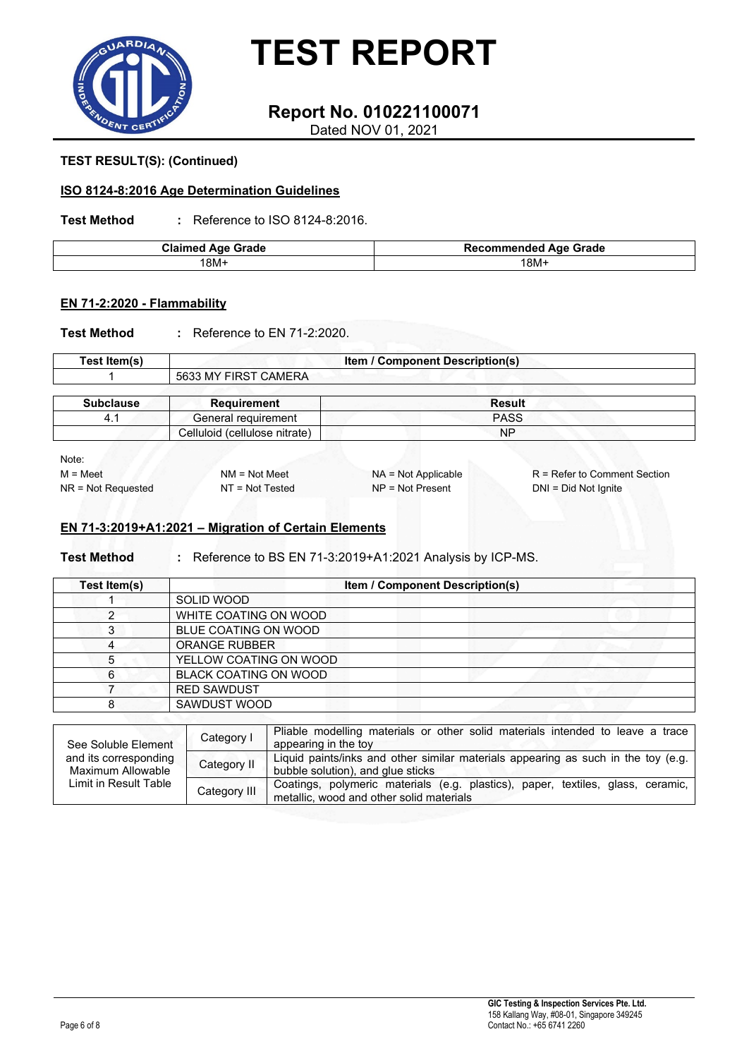

### **Report No. 010221100071**

Dated NOV 01, 2021

#### **TEST RESULT(S): (Continued)**

#### **ISO 8124-8:2016 Age Determination Guidelines**

**Test Method :** Reference to ISO 8124-8:2016.

| <b>Claimed Age Grade</b> | <b>Recommended Age Grade</b> |
|--------------------------|------------------------------|
| '8M+                     | 18M+                         |

#### **EN 71-2:2020 - Flammability**

**Test Method :** Reference to EN 71-2:2020.

| Test Item(s)     | <b>Item / Component Description(s)</b> |               |  |  |  |
|------------------|----------------------------------------|---------------|--|--|--|
|                  | 5633 MY FIRST CAMERA                   |               |  |  |  |
| <b>Subclause</b> | <b>Requirement</b>                     | <b>Result</b> |  |  |  |
| 4.1              | General requirement                    | <b>PASS</b>   |  |  |  |
|                  | Celluloid (cellulose nitrate)          | <b>NP</b>     |  |  |  |

Note:

NR = Not Requested NT = Not Tested

M = Meet NM = Not Meet NA = Not Applicable R = Refer to Comment Section<br>NR = Not Requested NT = Not Tested NP = Not Present DNI = Did Not Ignite

#### **EN 71-3:2019+A1:2021 – Migration of Certain Elements**

**Test Method :** Reference to BS EN 71-3:2019+A1:2021 Analysis by ICP-MS.

| Test Item(s) | <b>Item / Component Description(s)</b> |  |  |  |  |  |
|--------------|----------------------------------------|--|--|--|--|--|
|              | SOLID WOOD                             |  |  |  |  |  |
|              | WHITE COATING ON WOOD                  |  |  |  |  |  |
| 3            | BLUE COATING ON WOOD                   |  |  |  |  |  |
| 4            | <b>ORANGE RUBBER</b>                   |  |  |  |  |  |
| 5            | YELLOW COATING ON WOOD                 |  |  |  |  |  |
| 6            | <b>BLACK COATING ON WOOD</b>           |  |  |  |  |  |
|              | <b>RED SAWDUST</b>                     |  |  |  |  |  |
| 8            | <b>SAWDUST WOOD</b>                    |  |  |  |  |  |

| See Soluble Element<br>and its corresponding<br>Maximum Allowable<br>Limit in Result Table | Category I   | Pliable modelling materials or other solid materials intended to leave a trace<br>appearing in the toy                      |  |  |  |  |
|--------------------------------------------------------------------------------------------|--------------|-----------------------------------------------------------------------------------------------------------------------------|--|--|--|--|
|                                                                                            | Category II  | Liquid paints/inks and other similar materials appearing as such in the toy (e.g.  <br>bubble solution), and glue sticks    |  |  |  |  |
|                                                                                            | Category III | Coatings, polymeric materials (e.g. plastics), paper, textiles, glass, ceramic,<br>metallic, wood and other solid materials |  |  |  |  |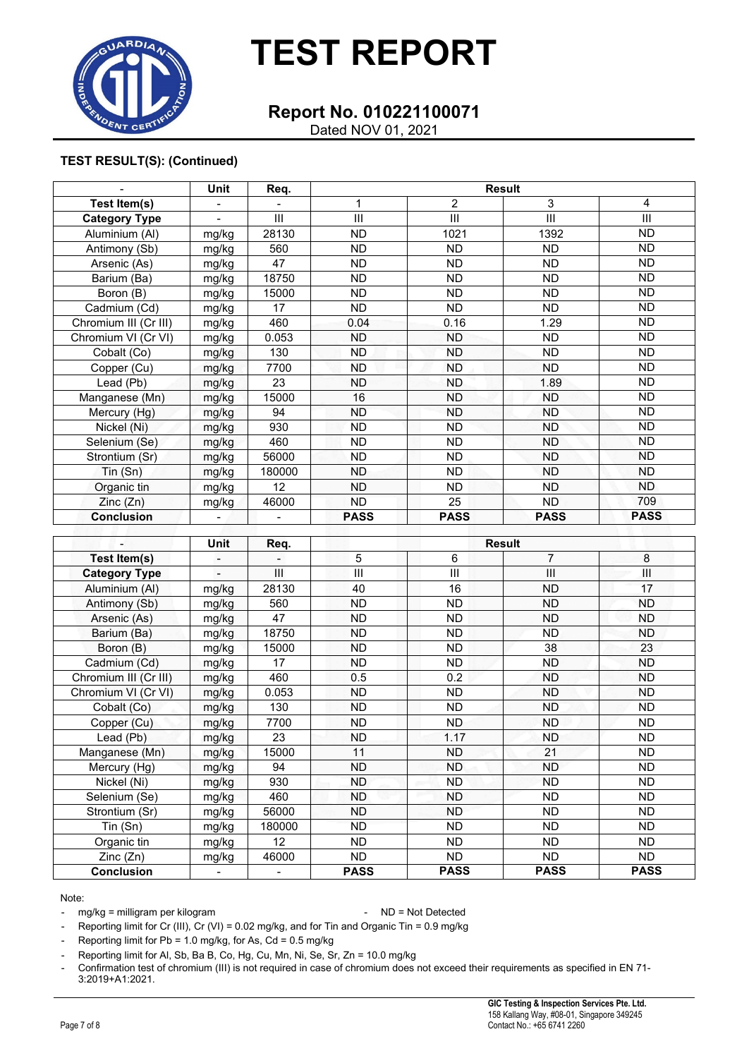

### **Report No. 010221100071**

Dated NOV 01, 2021

#### **TEST RESULT(S): (Continued)**

|                       | Unit  | Req.           | <b>Result</b> |             |             |             |
|-----------------------|-------|----------------|---------------|-------------|-------------|-------------|
| Test Item(s)          |       |                | 1             | 2           | 3           | 4           |
| <b>Category Type</b>  | -     | Ш              | III           | III         | III         | III         |
| Aluminium (AI)        | mg/kg | 28130          | <b>ND</b>     | 1021        | 1392        | <b>ND</b>   |
| Antimony (Sb)         | mg/kg | 560            | ND.           | <b>ND</b>   | <b>ND</b>   | <b>ND</b>   |
| Arsenic (As)          | mg/kg | 47             | ND.           | <b>ND</b>   | <b>ND</b>   | <b>ND</b>   |
| Barium (Ba)           | mg/kg | 18750          | ND.           | <b>ND</b>   | <b>ND</b>   | <b>ND</b>   |
| Boron (B)             | mg/kg | 15000          | ND.           | <b>ND</b>   | <b>ND</b>   | ND          |
| Cadmium (Cd)          | mg/kg | 17             | ND.           | <b>ND</b>   | <b>ND</b>   | <b>ND</b>   |
| Chromium III (Cr III) | mg/kg | 460            | 0.04          | 0.16        | 1.29        | <b>ND</b>   |
| Chromium VI (Cr VI)   | mg/kg | 0.053          | ND            | <b>ND</b>   | <b>ND</b>   | ND.         |
| Cobalt (Co)           | mg/kg | 130            | ND.           | <b>ND</b>   | <b>ND</b>   | ND.         |
| Copper (Cu)           | mg/kg | 7700           | ND.           | <b>ND</b>   | <b>ND</b>   | ND          |
| Lead (Pb)             | mg/kg | 23             | ND.           | ND.         | 1.89        | <b>ND</b>   |
| Manganese (Mn)        | mg/kg | 15000          | 16            | <b>ND</b>   | <b>ND</b>   | <b>ND</b>   |
| Mercury (Hg)          | mg/kg | 94             | <b>ND</b>     | <b>ND</b>   | <b>ND</b>   | <b>ND</b>   |
| Nickel (Ni)           | mg/kg | 930            | <b>ND</b>     | <b>ND</b>   | <b>ND</b>   | <b>ND</b>   |
| Selenium (Se)         | mg/kg | 460            | ND.           | <b>ND</b>   | <b>ND</b>   | ND.         |
| Strontium (Sr)        | mg/kg | 56000          | ND.           | <b>ND</b>   | ND.         | ND.         |
| $T$ in $(Sn)$         | mg/kg | 180000         | ND.           | <b>ND</b>   | <b>ND</b>   | <b>ND</b>   |
| Organic tin           | mg/kg | 12             | ND.           | ND.         | ND.         | ND.         |
| Zinc(Zn)              | mg/kg | 46000          | <b>ND</b>     | 25          | ND.         | 709         |
| <b>Conclusion</b>     | -     | $\blacksquare$ | <b>PASS</b>   | <b>PASS</b> | <b>PASS</b> | <b>PASS</b> |

|                       | Unit  | Req.   | <b>Result</b> |             |                |             |
|-----------------------|-------|--------|---------------|-------------|----------------|-------------|
| Test Item(s)          |       |        | 5             | 6           | $\overline{7}$ | 8           |
| <b>Category Type</b>  |       | Ш      | III           | III         | III            | Ш           |
| Aluminium (AI)        | mg/kg | 28130  | 40            | 16          | <b>ND</b>      | 17          |
| Antimony (Sb)         | mg/kg | 560    | <b>ND</b>     | <b>ND</b>   | <b>ND</b>      | <b>ND</b>   |
| Arsenic (As)          | mg/kg | 47     | <b>ND</b>     | <b>ND</b>   | <b>ND</b>      | <b>ND</b>   |
| Barium (Ba)           | mg/kg | 18750  | <b>ND</b>     | <b>ND</b>   | <b>ND</b>      | <b>ND</b>   |
| Boron (B)             | mg/kg | 15000  | <b>ND</b>     | <b>ND</b>   | 38             | 23          |
| Cadmium (Cd)          | mg/kg | 17     | <b>ND</b>     | <b>ND</b>   | <b>ND</b>      | <b>ND</b>   |
| Chromium III (Cr III) | mg/kg | 460    | 0.5           | 0.2         | <b>ND</b>      | <b>ND</b>   |
| Chromium VI (Cr VI)   | mg/kg | 0.053  | <b>ND</b>     | <b>ND</b>   | <b>ND</b>      | <b>ND</b>   |
| Cobalt (Co)           | mg/kg | 130    | <b>ND</b>     | ND.         | <b>ND</b>      | <b>ND</b>   |
| Copper (Cu)           | mg/kg | 7700   | <b>ND</b>     | ND.         | <b>ND</b>      | <b>ND</b>   |
| Lead (Pb)             | mg/kg | 23     | <b>ND</b>     | 1.17        | <b>ND</b>      | <b>ND</b>   |
| Manganese (Mn)        | mg/kg | 15000  | 11            | ND.         | 21             | ND.         |
| Mercury (Hg)          | mg/kg | 94     | ND            | <b>ND</b>   | ND             | <b>ND</b>   |
| Nickel (Ni)           | mg/kg | 930    | ND.           | <b>ND</b>   | <b>ND</b>      | <b>ND</b>   |
| Selenium (Se)         | mg/kg | 460    | ND.           | ND.         | <b>ND</b>      | <b>ND</b>   |
| Strontium (Sr)        | mg/kg | 56000  | ND            | ND.         | <b>ND</b>      | ND.         |
| Tin (Sn)              | mg/kg | 180000 | <b>ND</b>     | <b>ND</b>   | <b>ND</b>      | <b>ND</b>   |
| Organic tin           | mg/kg | 12     | ND.           | ND.         | ND.            | ND.         |
| Zinc (Zn)             | mg/kg | 46000  | ND.           | ND.         | <b>ND</b>      | ND.         |
| <b>Conclusion</b>     |       |        | <b>PASS</b>   | <b>PASS</b> | <b>PASS</b>    | <b>PASS</b> |

Note:

- mg/kg = milligram per kilogram entitled and the state of the ND = Not Detected

- Reporting limit for Cr (III), Cr (VI) = 0.02 mg/kg, and for Tin and Organic Tin = 0.9 mg/kg

- Reporting limit for  $Pb = 1.0$  mg/kg, for As,  $Cd = 0.5$  mg/kg

Reporting limit for Al, Sb, Ba B, Co, Hg, Cu, Mn, Ni, Se, Sr, Zn = 10.0 mg/kg

- Confirmation test of chromium (III) is not required in case of chromium does not exceed their requirements as specified in EN 71- 3:2019+A1:2021.